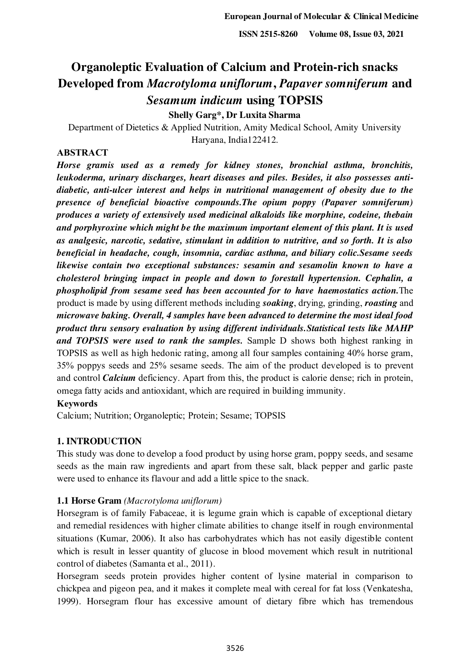# **Organoleptic Evaluation of Calcium and Protein-rich snacks Developed from** *Macrotyloma uniflorum***,** *Papaver somniferum* **and**  *Sesamum indicum* **using TOPSIS**

**Shelly Garg\*, Dr Luxita Sharma** 

Department of Dietetics & Applied Nutrition, Amity Medical School, Amity University Haryana, India122412.

# **ABSTRACT**

*Horse gramis used as a remedy for kidney stones, bronchial asthma, bronchitis, leukoderma, urinary discharges, heart diseases and piles. Besides, it also possesses antidiabetic, anti-ulcer interest and helps in nutritional management of obesity due to the presence of beneficial bioactive compounds.The opium poppy (Papaver somniferum) produces a variety of extensively used medicinal alkaloids like morphine, codeine, thebain and porphyroxine which might be the maximum important element of this plant. It is used as analgesic, narcotic, sedative, stimulant in addition to nutritive, and so forth. It is also beneficial in headache, cough, insomnia, cardiac asthma, and biliary colic.Sesame seeds likewise contain two exceptional substances: sesamin and sesamolin known to have a cholesterol bringing impact in people and down to forestall hypertension. Cephalin, a phospholipid from sesame seed has been accounted for to have haemostatics action.*The product is made by using different methods including *soaking*, drying, grinding, *roasting* and *microwave baking. Overall, 4 samples have been advanced to determine the most ideal food product thru sensory evaluation by using different individuals.Statistical tests like MAHP and TOPSIS were used to rank the samples.* Sample D shows both highest ranking in TOPSIS as well as high hedonic rating, among all four samples containing 40% horse gram, 35% poppys seeds and 25% sesame seeds. The aim of the product developed is to prevent and control *Calcium* deficiency. Apart from this, the product is calorie dense; rich in protein, omega fatty acids and antioxidant, which are required in building immunity.

#### **Keywords**

Calcium; Nutrition; Organoleptic; Protein; Sesame; TOPSIS

# **1. INTRODUCTION**

This study was done to develop a food product by using horse gram, poppy seeds, and sesame seeds as the main raw ingredients and apart from these salt, black pepper and garlic paste were used to enhance its flavour and add a little spice to the snack.

# **1.1 Horse Gram** *(Macrotyloma uniflorum)*

Horsegram is of family Fabaceae, it is legume grain which is capable of exceptional dietary and remedial residences with higher climate abilities to change itself in rough environmental situations (Kumar, 2006). It also has carbohydrates which has not easily digestible content which is result in lesser quantity of glucose in blood movement which result in nutritional control of diabetes (Samanta et al., 2011).

Horsegram seeds protein provides higher content of lysine material in comparison to chickpea and pigeon pea, and it makes it complete meal with cereal for fat loss (Venkatesha, 1999). Horsegram flour has excessive amount of dietary fibre which has tremendous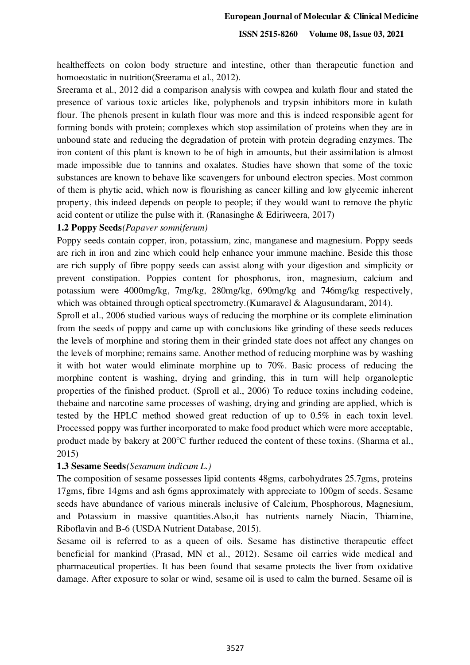healtheffects on colon body structure and intestine, other than therapeutic function and homoeostatic in nutrition(Sreerama et al., 2012).

Sreerama et al., 2012 did a comparison analysis with cowpea and kulath flour and stated the presence of various toxic articles like, polyphenols and trypsin inhibitors more in kulath flour. The phenols present in kulath flour was more and this is indeed responsible agent for forming bonds with protein; complexes which stop assimilation of proteins when they are in unbound state and reducing the degradation of protein with protein degrading enzymes. The iron content of this plant is known to be of high in amounts, but their assimilation is almost made impossible due to tannins and oxalates. Studies have shown that some of the toxic substances are known to behave like scavengers for unbound electron species. Most common of them is phytic acid, which now is flourishing as cancer killing and low glycemic inherent property, this indeed depends on people to people; if they would want to remove the phytic acid content or utilize the pulse with it. (Ranasinghe & Ediriweera, 2017)

#### **1.2 Poppy Seeds***(Papaver somniferum)*

Poppy seeds contain copper, iron, potassium, zinc, manganese and magnesium. Poppy seeds are rich in iron and zinc which could help enhance your immune machine. Beside this those are rich supply of fibre poppy seeds can assist along with your digestion and simplicity or prevent constipation. Poppies content for phosphorus, iron, magnesium, calcium and potassium were 4000mg/kg, 7mg/kg, 280mg/kg, 690mg/kg and 746mg/kg respectively, which was obtained through optical spectrometry. (Kumaravel & Alagusundaram, 2014).

Sproll et al., 2006 studied various ways of reducing the morphine or its complete elimination from the seeds of poppy and came up with conclusions like grinding of these seeds reduces the levels of morphine and storing them in their grinded state does not affect any changes on the levels of morphine; remains same. Another method of reducing morphine was by washing it with hot water would eliminate morphine up to 70%. Basic process of reducing the morphine content is washing, drying and grinding, this in turn will help organoleptic properties of the finished product. (Sproll et al., 2006) To reduce toxins including codeine, thebaine and narcotine same processes of washing, drying and grinding are applied, which is tested by the HPLC method showed great reduction of up to 0.5% in each toxin level. Processed poppy was further incorporated to make food product which were more acceptable, product made by bakery at 200℃ further reduced the content of these toxins. (Sharma et al., 2015)

# **1.3 Sesame Seeds***(Sesamum indicum L.)*

The composition of sesame possesses lipid contents 48gms, carbohydrates 25.7gms, proteins 17gms, fibre 14gms and ash 6gms approximately with appreciate to 100gm of seeds. Sesame seeds have abundance of various minerals inclusive of Calcium, Phosphorous, Magnesium, and Potassium in massive quantities.Also,it has nutrients namely Niacin, Thiamine, Riboflavin and B-6 (USDA Nutrient Database, 2015).

Sesame oil is referred to as a queen of oils. Sesame has distinctive therapeutic effect beneficial for mankind (Prasad, MN et al., 2012). Sesame oil carries wide medical and pharmaceutical properties. It has been found that sesame protects the liver from oxidative damage. After exposure to solar or wind, sesame oil is used to calm the burned. Sesame oil is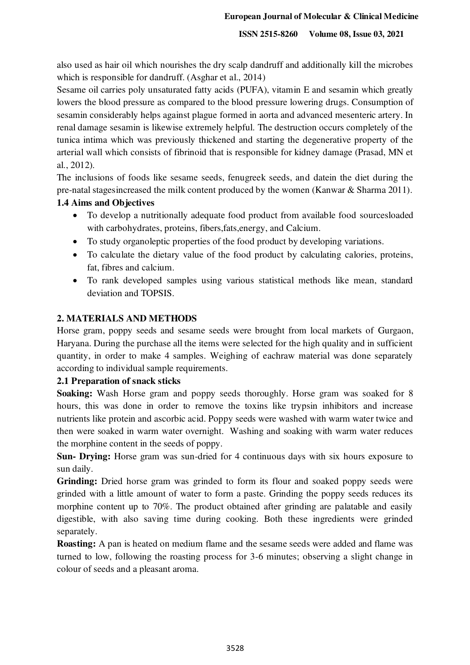also used as hair oil which nourishes the dry scalp dandruff and additionally kill the microbes which is responsible for dandruff. (Asghar et al., 2014)

Sesame oil carries poly unsaturated fatty acids (PUFA), vitamin E and sesamin which greatly lowers the blood pressure as compared to the blood pressure lowering drugs. Consumption of sesamin considerably helps against plague formed in aorta and advanced mesenteric artery. In renal damage sesamin is likewise extremely helpful. The destruction occurs completely of the tunica intima which was previously thickened and starting the degenerative property of the arterial wall which consists of fibrinoid that is responsible for kidney damage (Prasad, MN et al., 2012).

The inclusions of foods like sesame seeds, fenugreek seeds, and datein the diet during the pre-natal stagesincreased the milk content produced by the women (Kanwar & Sharma 2011).

#### **1.4 Aims and Objectives**

- To develop a nutritionally adequate food product from available food sourcesloaded with carbohydrates, proteins, fibers,fats,energy, and Calcium.
- To study organoleptic properties of the food product by developing variations.
- To calculate the dietary value of the food product by calculating calories, proteins, fat, fibres and calcium.
- To rank developed samples using various statistical methods like mean, standard deviation and TOPSIS.

# **2. MATERIALS AND METHODS**

Horse gram, poppy seeds and sesame seeds were brought from local markets of Gurgaon, Haryana. During the purchase all the items were selected for the high quality and in sufficient quantity, in order to make 4 samples. Weighing of eachraw material was done separately according to individual sample requirements.

# **2.1 Preparation of snack sticks**

**Soaking:** Wash Horse gram and poppy seeds thoroughly. Horse gram was soaked for 8 hours, this was done in order to remove the toxins like trypsin inhibitors and increase nutrients like protein and ascorbic acid. Poppy seeds were washed with warm water twice and then were soaked in warm water overnight. Washing and soaking with warm water reduces the morphine content in the seeds of poppy.

**Sun- Drying:** Horse gram was sun-dried for 4 continuous days with six hours exposure to sun daily.

**Grinding:** Dried horse gram was grinded to form its flour and soaked poppy seeds were grinded with a little amount of water to form a paste. Grinding the poppy seeds reduces its morphine content up to 70%. The product obtained after grinding are palatable and easily digestible, with also saving time during cooking. Both these ingredients were grinded separately.

**Roasting:** A pan is heated on medium flame and the sesame seeds were added and flame was turned to low, following the roasting process for 3-6 minutes; observing a slight change in colour of seeds and a pleasant aroma.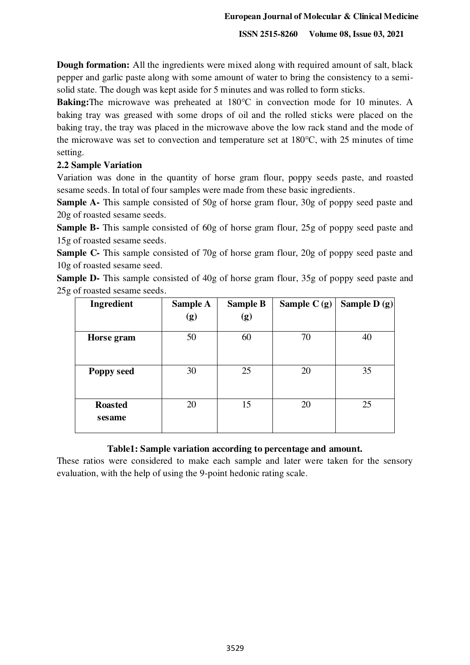**Dough formation:** All the ingredients were mixed along with required amount of salt, black pepper and garlic paste along with some amount of water to bring the consistency to a semisolid state. The dough was kept aside for 5 minutes and was rolled to form sticks.

**Baking:**The microwave was preheated at 180℃ in convection mode for 10 minutes. A baking tray was greased with some drops of oil and the rolled sticks were placed on the baking tray, the tray was placed in the microwave above the low rack stand and the mode of the microwave was set to convection and temperature set at 180℃, with 25 minutes of time setting.

# **2.2 Sample Variation**

Variation was done in the quantity of horse gram flour, poppy seeds paste, and roasted sesame seeds. In total of four samples were made from these basic ingredients.

**Sample A-** This sample consisted of 50g of horse gram flour, 30g of poppy seed paste and 20g of roasted sesame seeds.

**Sample B-** This sample consisted of 60g of horse gram flour, 25g of poppy seed paste and 15g of roasted sesame seeds.

**Sample C-** This sample consisted of 70g of horse gram flour, 20g of poppy seed paste and 10g of roasted sesame seed.

**Sample D-** This sample consisted of 40g of horse gram flour, 35g of poppy seed paste and 25g of roasted sesame seeds.

| Ingredient               | <b>Sample A</b><br>(g) | <b>Sample B</b><br>(g) | Sample $C(g)$ | Sample D $(g)$ |
|--------------------------|------------------------|------------------------|---------------|----------------|
| Horse gram               | 50                     | 60                     | 70            | 40             |
| Poppy seed               | 30                     | 25                     | 20            | 35             |
| <b>Roasted</b><br>sesame | 20                     | 15                     | 20            | 25             |

# **Table1: Sample variation according to percentage and amount.**

These ratios were considered to make each sample and later were taken for the sensory evaluation, with the help of using the 9-point hedonic rating scale.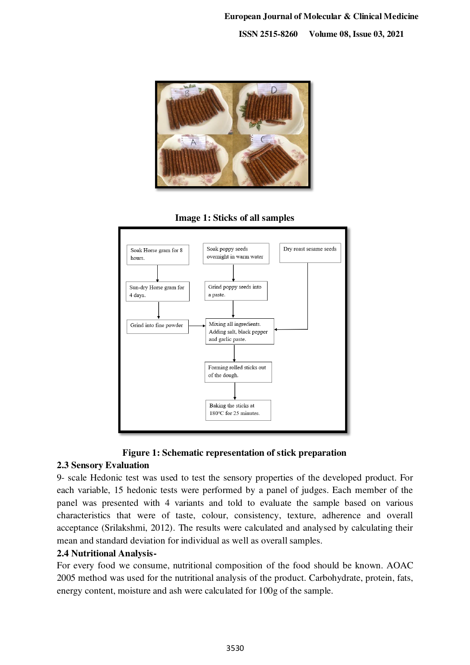







# **2.3 Sensory Evaluation**

9- scale Hedonic test was used to test the sensory properties of the developed product. For each variable, 15 hedonic tests were performed by a panel of judges. Each member of the panel was presented with 4 variants and told to evaluate the sample based on various characteristics that were of taste, colour, consistency, texture, adherence and overall acceptance (Srilakshmi, 2012). The results were calculated and analysed by calculating their mean and standard deviation for individual as well as overall samples.

# **2.4 Nutritional Analysis-**

For every food we consume, nutritional composition of the food should be known. AOAC 2005 method was used for the nutritional analysis of the product. Carbohydrate, protein, fats, energy content, moisture and ash were calculated for 100g of the sample.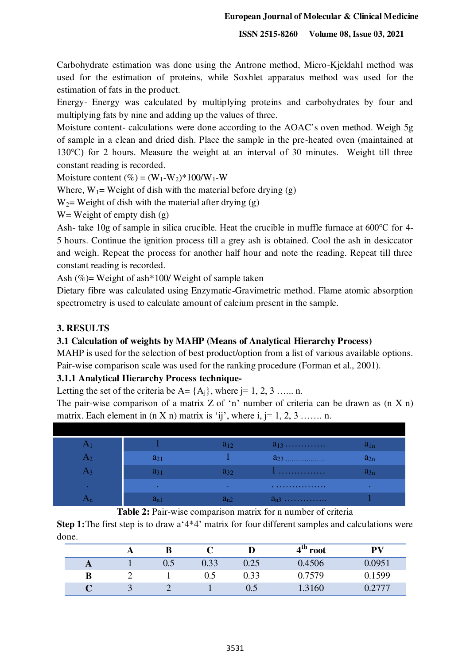Carbohydrate estimation was done using the Antrone method, Micro-Kjeldahl method was used for the estimation of proteins, while Soxhlet apparatus method was used for the estimation of fats in the product.

Energy- Energy was calculated by multiplying proteins and carbohydrates by four and multiplying fats by nine and adding up the values of three.

Moisture content- calculations were done according to the AOAC's oven method. Weigh 5g of sample in a clean and dried dish. Place the sample in the pre-heated oven (maintained at 130℃) for 2 hours. Measure the weight at an interval of 30 minutes. Weight till three constant reading is recorded.

Moisture content  $(\%)=(W_1-W_2)^*100/W_1-W_1$ 

Where,  $W_1$  = Weight of dish with the material before drying (g)

 $W_2$ = Weight of dish with the material after drying (g)

W = Weight of empty dish  $(g)$ 

Ash- take 10g of sample in silica crucible. Heat the crucible in muffle furnace at 600℃ for 4- 5 hours. Continue the ignition process till a grey ash is obtained. Cool the ash in desiccator and weigh. Repeat the process for another half hour and note the reading. Repeat till three constant reading is recorded.

Ash (%)= Weight of ash\*100/ Weight of sample taken

Dietary fibre was calculated using Enzymatic-Gravimetric method. Flame atomic absorption spectrometry is used to calculate amount of calcium present in the sample.

# **3. RESULTS**

# **3.1 Calculation of weights by MAHP (Means of Analytical Hierarchy Process)**

MAHP is used for the selection of best product/option from a list of various available options. Pair-wise comparison scale was used for the ranking procedure (Forman et al., 2001).

# **3.1.1 Analytical Hierarchy Process technique-**

Letting the set of the criteria be  $A = \{A_i\}$ , where  $i = 1, 2, 3, \ldots$  n.

The pair-wise comparison of a matrix  $Z$  of 'n' number of criteria can be drawn as  $(n \times n)$ matrix. Each element in  $(n X n)$  matrix is 'ij', where i, j= 1, 2, 3 ……. n.

|        |           | $a_{12}$  |          | $a_{1n}$ |
|--------|-----------|-----------|----------|----------|
|        | $a_{21}$  |           | $a_{23}$ | $a_{2n}$ |
|        | $a_{31}$  | $a_{32}$  | .        | $a_{3n}$ |
| $\sim$ | $\bullet$ | $\bullet$ | .        |          |
|        | $a_{n1}$  | $a_{n2}$  | $a_{n3}$ |          |

**Table 2:** Pair-wise comparison matrix for n number of criteria

**Step 1:** The first step is to draw a '4<sup>\*4</sup>' matrix for four different samples and calculations were done.

|   | A   | B   | ັ    |          | ⊿th<br>root | DV     |
|---|-----|-----|------|----------|-------------|--------|
| A |     | ∪.J | 0.33 | $0.25\,$ | 0.4506      | 0.0951 |
| B |     |     | 0.5  | 0.33     | .7579       | 0.1599 |
|   | - 1 |     |      | U.J      | .3160       |        |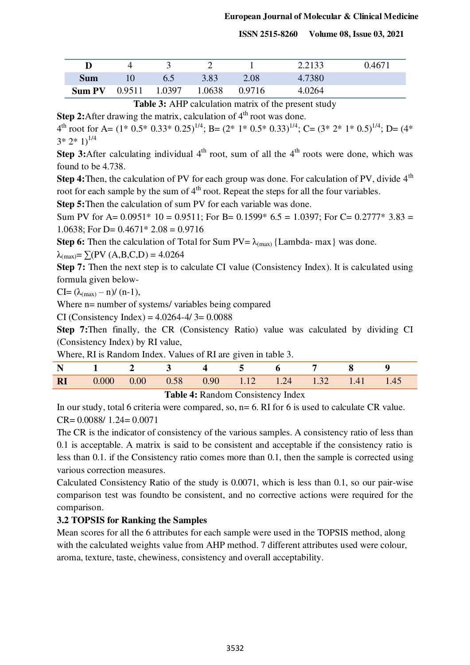|               |        |        |        |        | 2.2133 | 0.4671 |
|---------------|--------|--------|--------|--------|--------|--------|
| Sum           |        |        | 3.83   | 2.08   | 4.7380 |        |
| <b>Sum PV</b> | 0.9511 | 1.0397 | 1.0638 | 0.9716 | 4.0264 |        |

Table 3: AHP calculation matrix of the present study

**Step 2:**After drawing the matrix, calculation of  $4<sup>th</sup>$  root was done.

4 th root for A= (1\* 0.5\* 0.33\* 0.25)1/4; B= (2\* 1\* 0.5\* 0.33)1/4; C= (3\* 2\* 1\* 0.5)1/4; D= (4\*  $3*2*1$ <sup>1/4</sup>

**Step 3:**After calculating individual 4<sup>th</sup> root, sum of all the 4<sup>th</sup> roots were done, which was found to be 4.738.

**Step 4:** Then, the calculation of PV for each group was done. For calculation of PV, divide 4<sup>th</sup> root for each sample by the sum of  $4<sup>th</sup>$  root. Repeat the steps for all the four variables.

**Step 5:** Then the calculation of sum PV for each variable was done.

Sum PV for A=  $0.0951*10 = 0.9511$ ; For B=  $0.1599*6.5 = 1.0397$ ; For C=  $0.2777*3.83 =$ 1.0638; For D=  $0.4671*$  2.08 = 0.9716

**Step 6:** Then the calculation of Total for Sum  $PV = \lambda_{\text{(max)}}$  {Lambda- max} was done.

 $λ_{(max)} = \sum (PV (A, B, C, D) = 4.0264$ 

**Step 7:** Then the next step is to calculate CI value (Consistency Index). It is calculated using formula given below-

 $CI = (\lambda_{\text{max}} - n) / (n-1),$ 

Where n= number of systems/ variables being compared

CI (Consistency Index) =  $4.0264 - 4/3 = 0.0088$ 

**Step 7:**Then finally, the CR (Consistency Ratio) value was calculated by dividing CI (Consistency Index) by RI value,

Where, RI is Random Index. Values of RI are given in table 3.

|  |  |  | N 1 2 3 4 5 6 7 8 9                                     |  |  |
|--|--|--|---------------------------------------------------------|--|--|
|  |  |  | <b>RI</b> 0.000 0.00 0.58 0.90 1.12 1.24 1.32 1.41 1.45 |  |  |

**Table 4:** Random Consistency Index

In our study, total 6 criteria were compared, so,  $n=6$ . RI for 6 is used to calculate CR value.  $CR = 0.0088/ 1.24 = 0.0071$ 

The CR is the indicator of consistency of the various samples. A consistency ratio of less than 0.1 is acceptable. A matrix is said to be consistent and acceptable if the consistency ratio is less than 0.1. if the Consistency ratio comes more than 0.1, then the sample is corrected using various correction measures.

Calculated Consistency Ratio of the study is 0.0071, which is less than 0.1, so our pair-wise comparison test was foundto be consistent, and no corrective actions were required for the comparison.

# **3.2 TOPSIS for Ranking the Samples**

Mean scores for all the 6 attributes for each sample were used in the TOPSIS method, along with the calculated weights value from AHP method. 7 different attributes used were colour, aroma, texture, taste, chewiness, consistency and overall acceptability.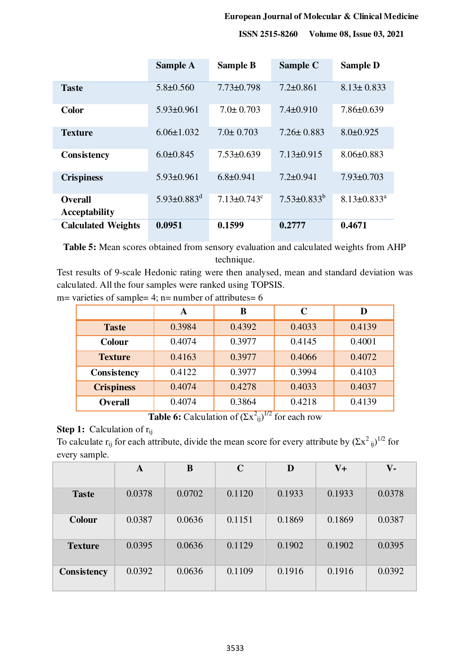#### **European Journal of Molecular & Clinical Medicine**

 **ISSN 2515-8260 Volume 08, Issue 03, 2021**

|                                        | <b>Sample A</b>               | <b>Sample B</b>               | Sample C           | <b>Sample D</b>               |
|----------------------------------------|-------------------------------|-------------------------------|--------------------|-------------------------------|
| <b>Taste</b>                           | $5.8 \pm 0.560$               | $7.73 \pm 0.798$              | $7.2 \pm 0.861$    | $8.13 \pm 0.833$              |
| <b>Color</b>                           | $5.93 \pm 0.961$              | $7.0 \pm 0.703$               | $7.4 \pm 0.910$    | $7.86 \pm 0.639$              |
| <b>Texture</b>                         | $6.06 \pm 1.032$              | $7.0 \pm 0.703$               | $7.26 \pm 0.883$   | $8.0 \pm 0.925$               |
| <b>Consistency</b>                     | $6.0 \pm 0.845$               | $7.53 \pm 0.639$              | $7.13 \pm 0.915$   | $8.06 \pm 0.883$              |
| <b>Crispiness</b>                      | $5.93 \pm 0.961$              | $6.8 \pm 0.941$               | $7.2 \pm 0.941$    | $7.93 \pm 0.703$              |
| <b>Overall</b><br><b>Acceptability</b> | $5.93 \pm 0.883$ <sup>d</sup> | $7.13 \pm 0.743$ <sup>c</sup> | $7.53 \pm 0.833^b$ | $8.13 \pm 0.833$ <sup>a</sup> |
| <b>Calculated Weights</b>              | 0.0951                        | 0.1599                        | 0.2777             | 0.4671                        |

**Table 5:** Mean scores obtained from sensory evaluation and calculated weights from AHP technique.

Test results of 9-scale Hedonic rating were then analysed, mean and standard deviation was calculated. All the four samples were ranked using TOPSIS.

|  |  |  |  |  |  |  | $m=$ varieties of sample= 4; $n=$ number of attributes= 6 |  |
|--|--|--|--|--|--|--|-----------------------------------------------------------|--|
|--|--|--|--|--|--|--|-----------------------------------------------------------|--|

|                   | A      | B      | $\mathbf C$ | D      |
|-------------------|--------|--------|-------------|--------|
| <b>Taste</b>      | 0.3984 | 0.4392 | 0.4033      | 0.4139 |
| <b>Colour</b>     | 0.4074 | 0.3977 | 0.4145      | 0.4001 |
| <b>Texture</b>    | 0.4163 | 0.3977 | 0.4066      | 0.4072 |
| Consistency       | 0.4122 | 0.3977 | 0.3994      | 0.4103 |
| <b>Crispiness</b> | 0.4074 | 0.4278 | 0.4033      | 0.4037 |
| <b>Overall</b>    | 0.4074 | 0.3864 | 0.4218      | 0.4139 |

**Table 6:** Calculation of  $(\Sigma x^2_{ij})^{1/2}$  for each row

# **Step 1:** Calculation of r<sub>ij</sub>

To calculate  $r_{ij}$  for each attribute, divide the mean score for every attribute by  $(\Sigma x^2_{ij})^{1/2}$  for every sample.

|                    | A      | B      | $\mathbf C$ | D      | $V_{+}$ | $V -$  |
|--------------------|--------|--------|-------------|--------|---------|--------|
| <b>Taste</b>       | 0.0378 | 0.0702 | 0.1120      | 0.1933 | 0.1933  | 0.0378 |
| <b>Colour</b>      | 0.0387 | 0.0636 | 0.1151      | 0.1869 | 0.1869  | 0.0387 |
| <b>Texture</b>     | 0.0395 | 0.0636 | 0.1129      | 0.1902 | 0.1902  | 0.0395 |
| <b>Consistency</b> | 0.0392 | 0.0636 | 0.1109      | 0.1916 | 0.1916  | 0.0392 |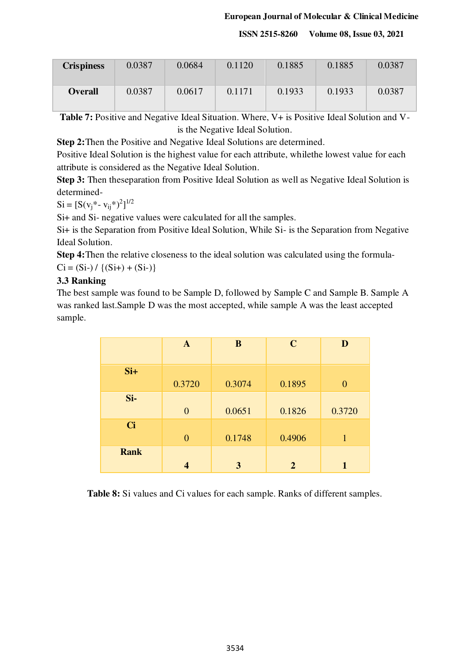#### **European Journal of Molecular & Clinical Medicine**

 **ISSN 2515-8260 Volume 08, Issue 03, 2021**

| <b>Crispiness</b> | 0.0387 | 0.0684 | 0.1120 | 0.1885 | 0.1885 | 0.0387 |
|-------------------|--------|--------|--------|--------|--------|--------|
| <b>Overall</b>    | 0.0387 | 0.0617 | 0.1171 | 0.1933 | 0.1933 | 0.0387 |

**Table 7:** Positive and Negative Ideal Situation. Where, V+ is Positive Ideal Solution and Vis the Negative Ideal Solution.

**Step 2:**Then the Positive and Negative Ideal Solutions are determined.

Positive Ideal Solution is the highest value for each attribute, whilethe lowest value for each attribute is considered as the Negative Ideal Solution.

**Step 3:** Then theseparation from Positive Ideal Solution as well as Negative Ideal Solution is determined-

 $Si = [S(v_j^* - v_{ij}^*)^2]^{1/2}$ 

Si+ and Si- negative values were calculated for all the samples.

Si+ is the Separation from Positive Ideal Solution, While Si- is the Separation from Negative Ideal Solution.

**Step 4:**Then the relative closeness to the ideal solution was calculated using the formula- $Ci = (Si-) / \{(Si+) + (Si-) \}$ 

# **3.3 Ranking**

The best sample was found to be Sample D, followed by Sample C and Sample B. Sample A was ranked last.Sample D was the most accepted, while sample A was the least accepted sample.

|             | $\mathbf{A}$   | B      | $\mathbf C$    | D              |
|-------------|----------------|--------|----------------|----------------|
| $Si+$       |                |        |                |                |
| Si-         | 0.3720         | 0.3074 | 0.1895         | $\overline{0}$ |
|             | $\overline{0}$ | 0.0651 | 0.1826         | 0.3720         |
| <b>Ci</b>   | $\overline{0}$ | 0.1748 | 0.4906         | 1              |
| <b>Rank</b> | 4              | 3      | $\overline{2}$ |                |

**Table 8:** Si values and Ci values for each sample. Ranks of different samples.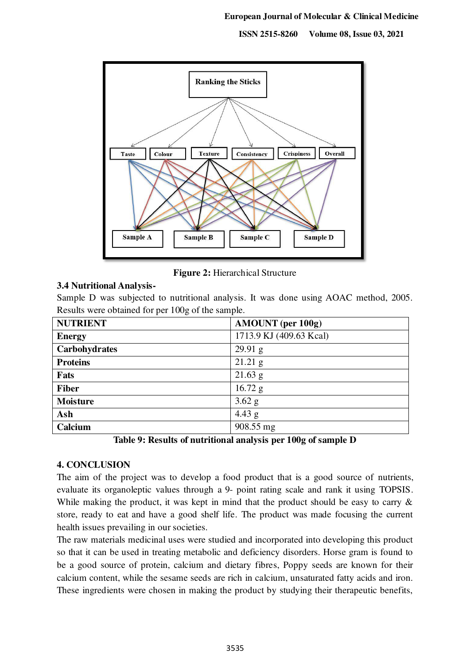

**Figure 2:** Hierarchical Structure

# **3.4 Nutritional Analysis-**

Sample D was subjected to nutritional analysis. It was done using AOAC method, 2005. Results were obtained for per 100g of the sample.

| <b>NUTRIENT</b> | <b>AMOUNT</b> (per 100g) |
|-----------------|--------------------------|
| <b>Energy</b>   | 1713.9 KJ (409.63 Kcal)  |
| Carbohydrates   | $29.91\text{ g}$         |
| <b>Proteins</b> | $21.21$ g                |
| Fats            | $21.63$ g                |
| <b>Fiber</b>    | $16.72$ g                |
| <b>Moisture</b> | $3.62$ g                 |
| Ash             | 4.43 $g$                 |
| Calcium         | 908.55 mg                |

**Table 9: Results of nutritional analysis per 100g of sample D**

# **4. CONCLUSION**

The aim of the project was to develop a food product that is a good source of nutrients, evaluate its organoleptic values through a 9- point rating scale and rank it using TOPSIS. While making the product, it was kept in mind that the product should be easy to carry  $\&$ store, ready to eat and have a good shelf life. The product was made focusing the current health issues prevailing in our societies.

The raw materials medicinal uses were studied and incorporated into developing this product so that it can be used in treating metabolic and deficiency disorders. Horse gram is found to be a good source of protein, calcium and dietary fibres, Poppy seeds are known for their calcium content, while the sesame seeds are rich in calcium, unsaturated fatty acids and iron. These ingredients were chosen in making the product by studying their therapeutic benefits,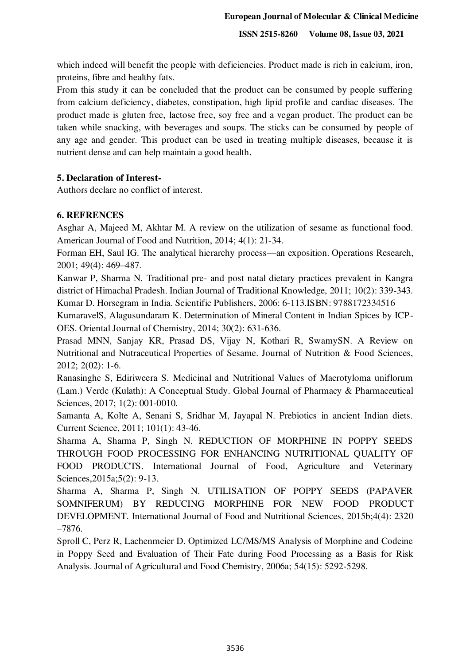which indeed will benefit the people with deficiencies. Product made is rich in calcium, iron, proteins, fibre and healthy fats.

From this study it can be concluded that the product can be consumed by people suffering from calcium deficiency, diabetes, constipation, high lipid profile and cardiac diseases. The product made is gluten free, lactose free, soy free and a vegan product. The product can be taken while snacking, with beverages and soups. The sticks can be consumed by people of any age and gender. This product can be used in treating multiple diseases, because it is nutrient dense and can help maintain a good health.

#### **5. Declaration of Interest-**

Authors declare no conflict of interest.

#### **6. REFRENCES**

Asghar A, Majeed M, Akhtar M. A review on the utilization of sesame as functional food. American Journal of Food and Nutrition, 2014; 4(1): 21-34.

Forman EH, Saul IG. The analytical hierarchy process—an exposition. Operations Research, 2001; 49(4): 469–487.

Kanwar P, Sharma N. Traditional pre- and post natal dietary practices prevalent in Kangra district of Himachal Pradesh. Indian Journal of Traditional Knowledge, 2011; 10(2): 339-343. Kumar D. Horsegram in India. Scientific Publishers, 2006: 6-113.ISBN: 9788172334516

KumaravelS, Alagusundaram K. Determination of Mineral Content in Indian Spices by ICP-OES. Oriental Journal of Chemistry, 2014; 30(2): 631-636.

Prasad MNN, Sanjay KR, Prasad DS, Vijay N, Kothari R, SwamySN. A Review on Nutritional and Nutraceutical Properties of Sesame. Journal of Nutrition & Food Sciences, 2012; 2(02): 1-6.

Ranasinghe S, Ediriweera S. Medicinal and Nutritional Values of Macrotyloma uniflorum (Lam.) Verdc (Kulath): A Conceptual Study. Global Journal of Pharmacy & Pharmaceutical Sciences, 2017; 1(2): 001-0010.

Samanta A, Kolte A, Senani S, Sridhar M, Jayapal N. Prebiotics in ancient Indian diets. Current Science, 2011; 101(1): 43-46.

Sharma A, Sharma P, Singh N. REDUCTION OF MORPHINE IN POPPY SEEDS THROUGH FOOD PROCESSING FOR ENHANCING NUTRITIONAL QUALITY OF FOOD PRODUCTS. International Journal of Food, Agriculture and Veterinary Sciences, 2015a; 5(2): 9-13.

Sharma A, Sharma P, Singh N. UTILISATION OF POPPY SEEDS (PAPAVER SOMNIFERUM) BY REDUCING MORPHINE FOR NEW FOOD PRODUCT DEVELOPMENT. International Journal of Food and Nutritional Sciences, 2015b;4(4): 2320 –7876.

Sproll C, Perz R, Lachenmeier D. Optimized LC/MS/MS Analysis of Morphine and Codeine in Poppy Seed and Evaluation of Their Fate during Food Processing as a Basis for Risk Analysis. Journal of Agricultural and Food Chemistry, 2006a; 54(15): 5292-5298.